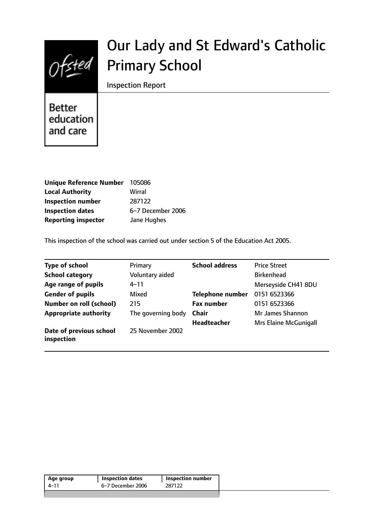

# Our Lady and St Edward's Catholic Primary School

Inspection Report

**Better** education and care

| <b>Unique Reference Number</b> | 105086            |
|--------------------------------|-------------------|
| <b>Local Authority</b>         | Wirral            |
| <b>Inspection number</b>       | 287122            |
| <b>Inspection dates</b>        | 6-7 December 2006 |
| <b>Reporting inspector</b>     | Jane Hughes       |

This inspection of the school was carried out under section 5 of the Education Act 2005.

| <b>Type of school</b>                 | Primary            | <b>School address</b>   | <b>Price Street</b>   |
|---------------------------------------|--------------------|-------------------------|-----------------------|
| <b>School category</b>                | Voluntary aided    |                         | <b>Birkenhead</b>     |
| Age range of pupils                   | $4 - 11$           |                         | Merseyside CH41 8DU   |
| <b>Gender of pupils</b>               | Mixed              | <b>Telephone number</b> | 0151 6523366          |
| <b>Number on roll (school)</b>        | 215                | <b>Fax number</b>       | 0151 6523366          |
| <b>Appropriate authority</b>          | The governing body | Chair                   | Mr James Shannon      |
|                                       |                    | <b>Headteacher</b>      | Mrs Elaine McGunigall |
| Date of previous school<br>inspection | 25 November 2002   |                         |                       |

| Age group | <b>Inspection dates</b> | Inspection number |
|-----------|-------------------------|-------------------|
| 4–11      | 6–7 December 2006       | 287122            |
|           |                         |                   |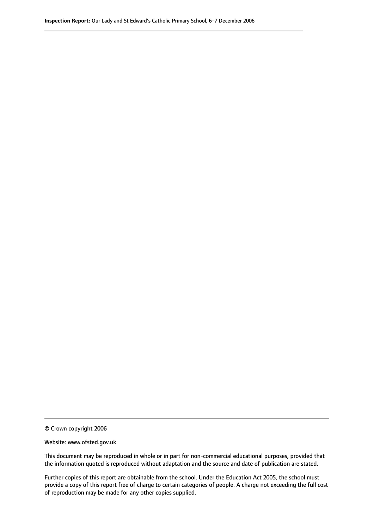© Crown copyright 2006

Website: www.ofsted.gov.uk

This document may be reproduced in whole or in part for non-commercial educational purposes, provided that the information quoted is reproduced without adaptation and the source and date of publication are stated.

Further copies of this report are obtainable from the school. Under the Education Act 2005, the school must provide a copy of this report free of charge to certain categories of people. A charge not exceeding the full cost of reproduction may be made for any other copies supplied.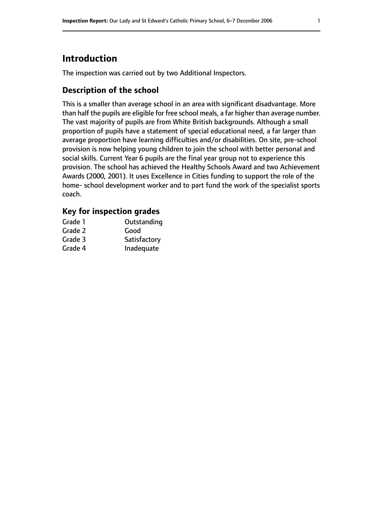# **Introduction**

The inspection was carried out by two Additional Inspectors.

## **Description of the school**

This is a smaller than average school in an area with significant disadvantage. More than half the pupils are eligible for free school meals, a far higher than average number. The vast majority of pupils are from White British backgrounds. Although a small proportion of pupils have a statement of special educational need, a far larger than average proportion have learning difficulties and/or disabilities. On site, pre-school provision is now helping young children to join the school with better personal and social skills. Current Year 6 pupils are the final year group not to experience this provision. The school has achieved the Healthy Schools Award and two Achievement Awards (2000, 2001). It uses Excellence in Cities funding to support the role of the home- school development worker and to part fund the work of the specialist sports coach.

#### **Key for inspection grades**

| Grade 1 | Outstanding  |
|---------|--------------|
| Grade 2 | Good         |
| Grade 3 | Satisfactory |
| Grade 4 | Inadequate   |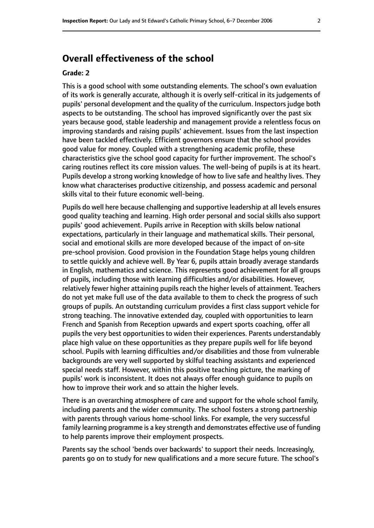# **Overall effectiveness of the school**

#### **Grade: 2**

This is a good school with some outstanding elements. The school's own evaluation of its work is generally accurate, although it is overly self-critical in its judgements of pupils' personal development and the quality of the curriculum. Inspectors judge both aspects to be outstanding. The school has improved significantly over the past six years because good, stable leadership and management provide a relentless focus on improving standards and raising pupils' achievement. Issues from the last inspection have been tackled effectively. Efficient governors ensure that the school provides good value for money. Coupled with a strengthening academic profile, these characteristics give the school good capacity for further improvement. The school's caring routines reflect its core mission values. The well-being of pupils is at its heart. Pupils develop a strong working knowledge of how to live safe and healthy lives. They know what characterises productive citizenship, and possess academic and personal skills vital to their future economic well-being.

Pupils do well here because challenging and supportive leadership at all levels ensures good quality teaching and learning. High order personal and social skills also support pupils' good achievement. Pupils arrive in Reception with skills below national expectations, particularly in their language and mathematical skills. Their personal, social and emotional skills are more developed because of the impact of on-site pre-school provision. Good provision in the Foundation Stage helps young children to settle quickly and achieve well. By Year 6, pupils attain broadly average standards in English, mathematics and science. This represents good achievement for all groups of pupils, including those with learning difficulties and/or disabilities. However, relatively fewer higher attaining pupils reach the higher levels of attainment. Teachers do not yet make full use of the data available to them to check the progress of such groups of pupils. An outstanding curriculum provides a first class support vehicle for strong teaching. The innovative extended day, coupled with opportunities to learn French and Spanish from Reception upwards and expert sports coaching, offer all pupils the very best opportunities to widen their experiences. Parents understandably place high value on these opportunities as they prepare pupils well for life beyond school. Pupils with learning difficulties and/or disabilities and those from vulnerable backgrounds are very well supported by skilful teaching assistants and experienced special needs staff. However, within this positive teaching picture, the marking of pupils' work is inconsistent. It does not always offer enough guidance to pupils on how to improve their work and so attain the higher levels.

There is an overarching atmosphere of care and support for the whole school family, including parents and the wider community. The school fosters a strong partnership with parents through various home-school links. For example, the very successful family learning programme is a key strength and demonstrates effective use of funding to help parents improve their employment prospects.

Parents say the school 'bends over backwards' to support their needs. Increasingly, parents go on to study for new qualifications and a more secure future. The school's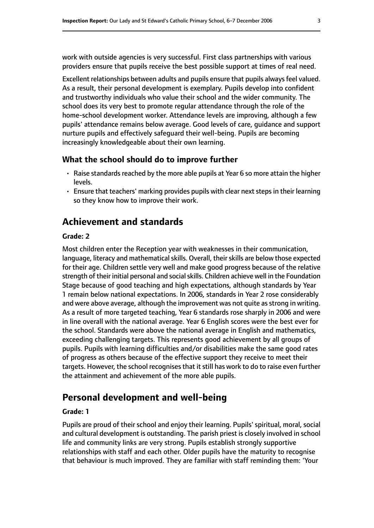work with outside agencies is very successful. First class partnerships with various providers ensure that pupils receive the best possible support at times of real need.

Excellent relationships between adults and pupils ensure that pupils always feel valued. As a result, their personal development is exemplary. Pupils develop into confident and trustworthy individuals who value their school and the wider community. The school does its very best to promote regular attendance through the role of the home-school development worker. Attendance levels are improving, although a few pupils' attendance remains below average. Good levels of care, guidance and support nurture pupils and effectively safeguard their well-being. Pupils are becoming increasingly knowledgeable about their own learning.

#### **What the school should do to improve further**

- Raise standards reached by the more able pupils at Year 6 so more attain the higher levels.
- $\cdot$  Ensure that teachers' marking provides pupils with clear next steps in their learning so they know how to improve their work.

# **Achievement and standards**

#### **Grade: 2**

Most children enter the Reception year with weaknesses in their communication, language, literacy and mathematical skills. Overall, their skills are below those expected for their age. Children settle very well and make good progress because of the relative strength of their initial personal and social skills. Children achieve well in the Foundation Stage because of good teaching and high expectations, although standards by Year 1 remain below national expectations. In 2006, standards in Year 2 rose considerably and were above average, although the improvement was not quite as strong in writing. As a result of more targeted teaching, Year 6 standards rose sharply in 2006 and were in line overall with the national average. Year 6 English scores were the best ever for the school. Standards were above the national average in English and mathematics, exceeding challenging targets. This represents good achievement by all groups of pupils. Pupils with learning difficulties and/or disabilities make the same good rates of progress as others because of the effective support they receive to meet their targets. However, the school recognises that it still has work to do to raise even further the attainment and achievement of the more able pupils.

# **Personal development and well-being**

#### **Grade: 1**

Pupils are proud of their school and enjoy their learning. Pupils' spiritual, moral, social and cultural development is outstanding. The parish priest is closely involved in school life and community links are very strong. Pupils establish strongly supportive relationships with staff and each other. Older pupils have the maturity to recognise that behaviour is much improved. They are familiar with staff reminding them: 'Your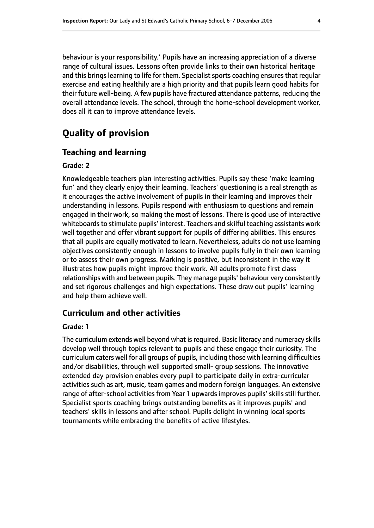behaviour is your responsibility.' Pupils have an increasing appreciation of a diverse range of cultural issues. Lessons often provide links to their own historical heritage and this brings learning to life for them. Specialist sports coaching ensures that regular exercise and eating healthily are a high priority and that pupils learn good habits for their future well-being. A few pupils have fractured attendance patterns, reducing the overall attendance levels. The school, through the home-school development worker, does all it can to improve attendance levels.

# **Quality of provision**

#### **Teaching and learning**

#### **Grade: 2**

Knowledgeable teachers plan interesting activities. Pupils say these 'make learning fun' and they clearly enjoy their learning. Teachers' questioning is a real strength as it encourages the active involvement of pupils in their learning and improves their understanding in lessons. Pupils respond with enthusiasm to questions and remain engaged in their work, so making the most of lessons. There is good use of interactive whiteboards to stimulate pupils' interest. Teachers and skilful teaching assistants work well together and offer vibrant support for pupils of differing abilities. This ensures that all pupils are equally motivated to learn. Nevertheless, adults do not use learning objectives consistently enough in lessons to involve pupils fully in their own learning or to assess their own progress. Marking is positive, but inconsistent in the way it illustrates how pupils might improve their work. All adults promote first class relationships with and between pupils. They manage pupils' behaviour very consistently and set rigorous challenges and high expectations. These draw out pupils' learning and help them achieve well.

#### **Curriculum and other activities**

#### **Grade: 1**

The curriculum extends well beyond what is required. Basic literacy and numeracy skills develop well through topics relevant to pupils and these engage their curiosity. The curriculum caters well for all groups of pupils, including those with learning difficulties and/or disabilities, through well supported small- group sessions. The innovative extended day provision enables every pupil to participate daily in extra-curricular activities such as art, music, team games and modern foreign languages. An extensive range of after-school activities from Year 1 upwards improves pupils' skills still further. Specialist sports coaching brings outstanding benefits as it improves pupils' and teachers' skills in lessons and after school. Pupils delight in winning local sports tournaments while embracing the benefits of active lifestyles.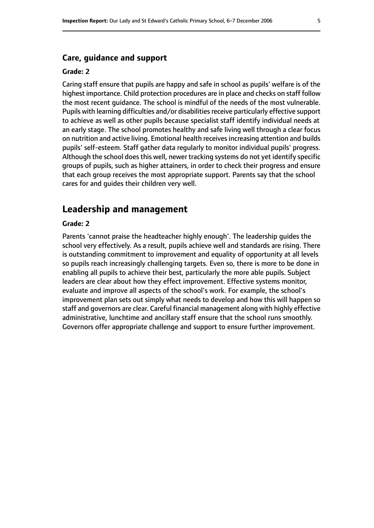#### **Care, guidance and support**

#### **Grade: 2**

Caring staff ensure that pupils are happy and safe in school as pupils' welfare is of the highest importance. Child protection procedures are in place and checks on staff follow the most recent guidance. The school is mindful of the needs of the most vulnerable. Pupils with learning difficulties and/or disabilities receive particularly effective support to achieve as well as other pupils because specialist staff identify individual needs at an early stage. The school promotes healthy and safe living well through a clear focus on nutrition and active living. Emotional health receives increasing attention and builds pupils' self-esteem. Staff gather data regularly to monitor individual pupils' progress. Although the school doesthis well, newer tracking systems do not yet identify specific groups of pupils, such as higher attainers, in order to check their progress and ensure that each group receives the most appropriate support. Parents say that the school cares for and guides their children very well.

## **Leadership and management**

#### **Grade: 2**

Parents 'cannot praise the headteacher highly enough'. The leadership guides the school very effectively. As a result, pupils achieve well and standards are rising. There is outstanding commitment to improvement and equality of opportunity at all levels so pupils reach increasingly challenging targets. Even so, there is more to be done in enabling all pupils to achieve their best, particularly the more able pupils. Subject leaders are clear about how they effect improvement. Effective systems monitor, evaluate and improve all aspects of the school's work. For example, the school's improvement plan sets out simply what needs to develop and how this will happen so staff and governors are clear. Careful financial management along with highly effective administrative, lunchtime and ancillary staff ensure that the school runs smoothly. Governors offer appropriate challenge and support to ensure further improvement.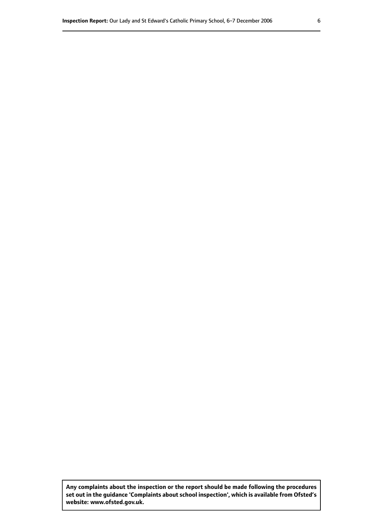**Any complaints about the inspection or the report should be made following the procedures set out inthe guidance 'Complaints about school inspection', whichis available from Ofsted's website: www.ofsted.gov.uk.**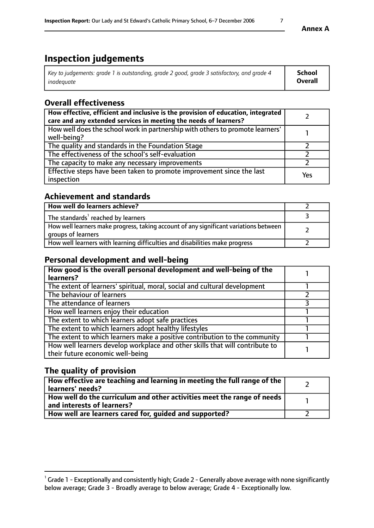# **Inspection judgements**

| Key to judgements: grade 1 is outstanding, grade 2 good, grade 3 satisfactory, and grade 4 | School         |
|--------------------------------------------------------------------------------------------|----------------|
| inadeauate                                                                                 | <b>Overall</b> |

# **Overall effectiveness**

| How effective, efficient and inclusive is the provision of education, integrated<br>care and any extended services in meeting the needs of learners? |     |
|------------------------------------------------------------------------------------------------------------------------------------------------------|-----|
| How well does the school work in partnership with others to promote learners'<br>well-being?                                                         |     |
| The quality and standards in the Foundation Stage                                                                                                    |     |
| The effectiveness of the school's self-evaluation                                                                                                    |     |
| The capacity to make any necessary improvements                                                                                                      |     |
| Effective steps have been taken to promote improvement since the last<br>inspection                                                                  | Yes |

# **Achievement and standards**

| How well do learners achieve?                                                                                            |  |
|--------------------------------------------------------------------------------------------------------------------------|--|
| The standards <sup>1</sup> reached by learners                                                                           |  |
| How well learners make progress, taking account of any significant variations between<br><sup>1</sup> groups of learners |  |
| How well learners with learning difficulties and disabilities make progress                                              |  |

# **Personal development and well-being**

| How good is the overall personal development and well-being of the<br>learners?                                  |  |
|------------------------------------------------------------------------------------------------------------------|--|
| The extent of learners' spiritual, moral, social and cultural development                                        |  |
| The behaviour of learners                                                                                        |  |
| The attendance of learners                                                                                       |  |
| How well learners enjoy their education                                                                          |  |
| The extent to which learners adopt safe practices                                                                |  |
| The extent to which learners adopt healthy lifestyles                                                            |  |
| The extent to which learners make a positive contribution to the community                                       |  |
| How well learners develop workplace and other skills that will contribute to<br>their future economic well-being |  |

# **The quality of provision**

| $\Box$ How effective are teaching and learning in meeting the full range of the $\Box$<br>  learners' needs?        |  |
|---------------------------------------------------------------------------------------------------------------------|--|
| $\mid$ How well do the curriculum and other activities meet the range of needs<br>$\mid$ and interests of learners? |  |
| How well are learners cared for, guided and supported?                                                              |  |

 $^1$  Grade 1 - Exceptionally and consistently high; Grade 2 - Generally above average with none significantly below average; Grade 3 - Broadly average to below average; Grade 4 - Exceptionally low.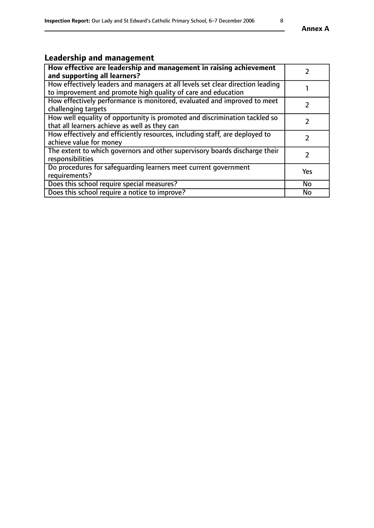# **Leadership and management**

| How effective are leadership and management in raising achievement<br>and supporting all learners?                                              |               |
|-------------------------------------------------------------------------------------------------------------------------------------------------|---------------|
| How effectively leaders and managers at all levels set clear direction leading<br>to improvement and promote high quality of care and education |               |
| How effectively performance is monitored, evaluated and improved to meet<br>challenging targets                                                 |               |
| How well equality of opportunity is promoted and discrimination tackled so<br>that all learners achieve as well as they can                     |               |
| How effectively and efficiently resources, including staff, are deployed to<br>achieve value for money                                          | $\mathcal{P}$ |
| The extent to which governors and other supervisory boards discharge their<br>responsibilities                                                  |               |
| Do procedures for safeguarding learners meet current government<br>requirements?                                                                | Yes           |
| Does this school require special measures?                                                                                                      | <b>No</b>     |
| Does this school require a notice to improve?                                                                                                   | <b>No</b>     |